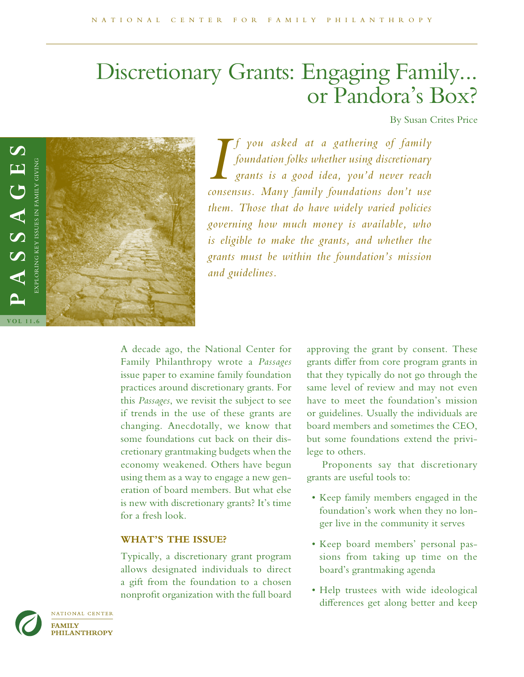# Discretionary Grants: Engaging Family... or Pandora's Box?

By Susan Crites Price



*I you asked at a gathering of family*<br>*foundation folks whether using discretionary*<br>*grants is a good idea, you'd never reach*<br>*consensus. Many family foundations don't use f you asked at a gathering of family foundation folks whether using discretionary grants is a good idea, you'd never reach them. Those that do have widely varied policies governing how much money is available, who is eligible to make the grants, and whether the grants must be within the foundation's mission and guidelines.* 

A decade ago, the National Center for Family Philanthropy wrote a *Passages* issue paper to examine family foundation practices around discretionary grants. For this *Passages*, we revisit the subject to see if trends in the use of these grants are changing. Anecdotally, we know that some foundations cut back on their discretionary grantmaking budgets when the economy weakened. Others have begun using them as a way to engage a new generation of board members. But what else is new with discretionary grants? It's time for a fresh look.

# **WHAT'S THE ISSUE?**

Typically, a discretionary grant program allows designated individuals to direct a gift from the foundation to a chosen nonproft organization with the full board

approving the grant by consent. These grants difer from core program grants in that they typically do not go through the same level of review and may not even have to meet the foundation's mission or guidelines. Usually the individuals are board members and sometimes the CEO, but some foundations extend the privilege to others.

Proponents say that discretionary grants are useful tools to:

- Keep family members engaged in the foundation's work when they no longer live in the community it serves
- Keep board members' personal passions from taking up time on the board's grantmaking agenda
- Help trustees with wide ideological diferences get along better and keep

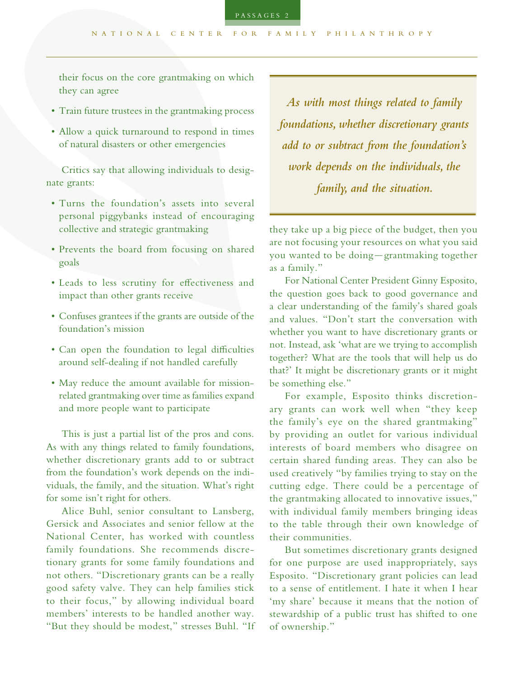their focus on the core grantmaking on which they can agree

- Train future trustees in the grantmaking process
- Allow a quick turnaround to respond in times of natural disasters or other emergencies

Critics say that allowing individuals to designate grants:

- Turns the foundation's assets into several personal piggybanks instead of encouraging collective and strategic grantmaking
- Prevents the board from focusing on shared goals
- Leads to less scrutiny for efectiveness and impact than other grants receive
- Confuses grantees if the grants are outside of the foundation's mission
- Can open the foundation to legal difficulties around self-dealing if not handled carefully
- May reduce the amount available for missionrelated grantmaking over time as families expand and more people want to participate

This is just a partial list of the pros and cons. As with any things related to family foundations, whether discretionary grants add to or subtract from the foundation's work depends on the individuals, the family, and the situation. What's right for some isn't right for others.

Alice Buhl, senior consultant to Lansberg, Gersick and Associates and senior fellow at the National Center, has worked with countless family foundations. She recommends discretionary grants for some family foundations and not others. "Discretionary grants can be a really good safety valve. They can help families stick to their focus," by allowing individual board members' interests to be handled another way. "But they should be modest," stresses Buhl. "If

*As with most things related to family foundations, whether discretionary grants add to or subtract from the foundation's work depends on the individuals, the family, and the situation.*

they take up a big piece of the budget, then you are not focusing your resources on what you said you wanted to be doing—grantmaking together as a family."

For National Center President Ginny Esposito, the question goes back to good governance and a clear understanding of the family's shared goals and values. "Don't start the conversation with whether you want to have discretionary grants or not. Instead, ask 'what are we trying to accomplish together? What are the tools that will help us do that?' It might be discretionary grants or it might be something else."

For example, Esposito thinks discretionary grants can work well when "they keep the family's eye on the shared grantmaking" by providing an outlet for various individual interests of board members who disagree on certain shared funding areas. They can also be used creatively "by families trying to stay on the cutting edge. There could be a percentage of the grantmaking allocated to innovative issues," with individual family members bringing ideas to the table through their own knowledge of their communities.

But sometimes discretionary grants designed for one purpose are used inappropriately, says Esposito. "Discretionary grant policies can lead to a sense of entitlement. I hate it when I hear 'my share' because it means that the notion of stewardship of a public trust has shifted to one of ownership."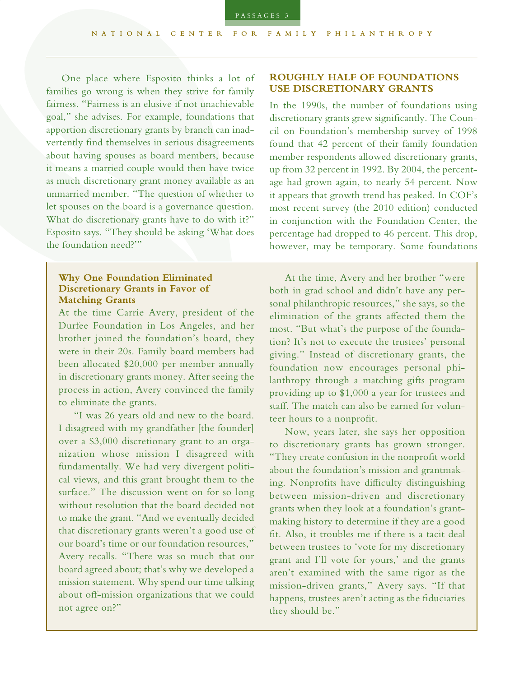One place where Esposito thinks a lot of families go wrong is when they strive for family fairness. "Fairness is an elusive if not unachievable goal," she advises. For example, foundations that apportion discretionary grants by branch can inadvertently fnd themselves in serious disagreements about having spouses as board members, because it means a married couple would then have twice as much discretionary grant money available as an unmarried member. "The question of whether to let spouses on the board is a governance question. What do discretionary grants have to do with it?" Esposito says. "They should be asking 'What does the foundation need?'"

#### **Why One Foundation Eliminated Discretionary Grants in Favor of Matching Grants**

At the time Carrie Avery, president of the Durfee Foundation in Los Angeles, and her brother joined the foundation's board, they were in their 20s. Family board members had been allocated \$20,000 per member annually in discretionary grants money. After seeing the process in action, Avery convinced the family to eliminate the grants.

"I was 26 years old and new to the board. I disagreed with my grandfather [the founder] over a \$3,000 discretionary grant to an organization whose mission I disagreed with fundamentally. We had very divergent political views, and this grant brought them to the surface." The discussion went on for so long without resolution that the board decided not to make the grant. "And we eventually decided that discretionary grants weren't a good use of our board's time or our foundation resources," Avery recalls. "There was so much that our board agreed about; that's why we developed a mission statement. Why spend our time talking about off-mission organizations that we could not agree on?"

#### **ROUGHLY HALF OF FOUNDATIONS USE DISCRETIONARY GRANTS**

In the 1990s, the number of foundations using discretionary grants grew signifcantly. The Council on Foundation's membership survey of 1998 found that 42 percent of their family foundation member respondents allowed discretionary grants, up from 32 percent in 1992. By 2004, the percentage had grown again, to nearly 54 percent. Now it appears that growth trend has peaked. In COF's most recent survey (the 2010 edition) conducted in conjunction with the Foundation Center, the percentage had dropped to 46 percent. This drop, however, may be temporary. Some foundations

At the time, Avery and her brother "were both in grad school and didn't have any personal philanthropic resources," she says, so the elimination of the grants afected them the most. "But what's the purpose of the foundation? It's not to execute the trustees' personal giving." Instead of discretionary grants, the foundation now encourages personal philanthropy through a matching gifts program providing up to \$1,000 a year for trustees and staf. The match can also be earned for volunteer hours to a nonproft.

Now, years later, she says her opposition to discretionary grants has grown stronger. "They create confusion in the nonproft world about the foundation's mission and grantmaking. Nonprofits have difficulty distinguishing between mission-driven and discretionary grants when they look at a foundation's grantmaking history to determine if they are a good ft. Also, it troubles me if there is a tacit deal between trustees to 'vote for my discretionary grant and I'll vote for yours,' and the grants aren't examined with the same rigor as the mission-driven grants," Avery says. "If that happens, trustees aren't acting as the fiduciaries they should be."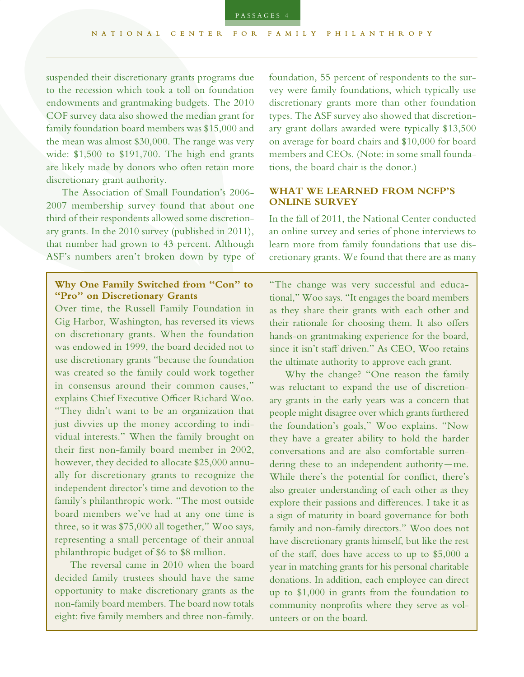suspended their discretionary grants programs due to the recession which took a toll on foundation endowments and grantmaking budgets. The 2010 COF survey data also showed the median grant for family foundation board members was \$15,000 and the mean was almost \$30,000. The range was very wide: \$1,500 to \$191,700. The high end grants are likely made by donors who often retain more discretionary grant authority.

The Association of Small Foundation's 2006- 2007 membership survey found that about one third of their respondents allowed some discretionary grants. In the 2010 survey (published in 2011), that number had grown to 43 percent. Although ASF's numbers aren't broken down by type of

# **Why One Family Switched from "Con" to "Pro" on Discretionary Grants**

Over time, the Russell Family Foundation in Gig Harbor, Washington, has reversed its views on discretionary grants. When the foundation was endowed in 1999, the board decided not to use discretionary grants "because the foundation was created so the family could work together in consensus around their common causes," explains Chief Executive Officer Richard Woo. "They didn't want to be an organization that just divvies up the money according to individual interests." When the family brought on their frst non-family board member in 2002, however, they decided to allocate \$25,000 annually for discretionary grants to recognize the independent director's time and devotion to the family's philanthropic work. "The most outside board members we've had at any one time is three, so it was \$75,000 all together," Woo says, representing a small percentage of their annual philanthropic budget of \$6 to \$8 million.

The reversal came in 2010 when the board decided family trustees should have the same opportunity to make discretionary grants as the non-family board members. The board now totals eight: fve family members and three non-family.

foundation, 55 percent of respondents to the survey were family foundations, which typically use discretionary grants more than other foundation types. The ASF survey also showed that discretionary grant dollars awarded were typically \$13,500 on average for board chairs and \$10,000 for board members and CEOs. (Note: in some small foundations, the board chair is the donor.)

#### **WHAT WE LEARNED FROM NCFP'S ONLINE SURVEY**

In the fall of 2011, the National Center conducted an online survey and series of phone interviews to learn more from family foundations that use discretionary grants. We found that there are as many

"The change was very successful and educational," Woo says. "It engages the board members as they share their grants with each other and their rationale for choosing them. It also offers hands-on grantmaking experience for the board, since it isn't staff driven." As CEO, Woo retains the ultimate authority to approve each grant.

Why the change? "One reason the family was reluctant to expand the use of discretionary grants in the early years was a concern that people might disagree over which grants furthered the foundation's goals," Woo explains. "Now they have a greater ability to hold the harder conversations and are also comfortable surrendering these to an independent authority—me. While there's the potential for confict, there's also greater understanding of each other as they explore their passions and diferences. I take it as a sign of maturity in board governance for both family and non-family directors." Woo does not have discretionary grants himself, but like the rest of the staf, does have access to up to \$5,000 a year in matching grants for his personal charitable donations. In addition, each employee can direct up to \$1,000 in grants from the foundation to community nonprofts where they serve as volunteers or on the board.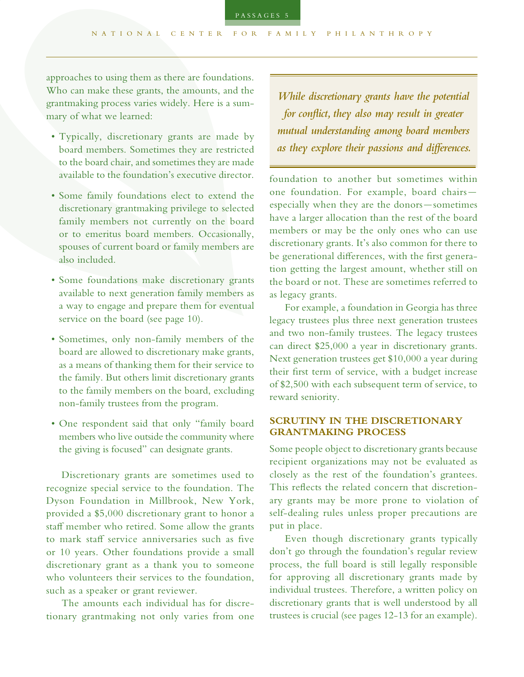approaches to using them as there are foundations. Who can make these grants, the amounts, and the grantmaking process varies widely. Here is a summary of what we learned:

- Typically, discretionary grants are made by board members. Sometimes they are restricted to the board chair, and sometimes they are made available to the foundation's executive director.
- Some family foundations elect to extend the discretionary grantmaking privilege to selected family members not currently on the board or to emeritus board members. Occasionally, spouses of current board or family members are also included.
- Some foundations make discretionary grants available to next generation family members as a way to engage and prepare them for eventual service on the board (see page 10).
- Sometimes, only non-family members of the board are allowed to discretionary make grants, as a means of thanking them for their service to the family. But others limit discretionary grants to the family members on the board, excluding non-family trustees from the program.
- One respondent said that only "family board members who live outside the community where the giving is focused" can designate grants.

Discretionary grants are sometimes used to recognize special service to the foundation. The Dyson Foundation in Millbrook, New York, provided a \$5,000 discretionary grant to honor a staff member who retired. Some allow the grants to mark staff service anniversaries such as five or 10 years. Other foundations provide a small discretionary grant as a thank you to someone who volunteers their services to the foundation, such as a speaker or grant reviewer.

The amounts each individual has for discretionary grantmaking not only varies from one

*While discretionary grants have the potential for confict, they also may result in greater mutual understanding among board members as they explore their passions and diferences.*

foundation to another but sometimes within one foundation. For example, board chairs especially when they are the donors—sometimes have a larger allocation than the rest of the board members or may be the only ones who can use discretionary grants. It's also common for there to be generational diferences, with the frst generation getting the largest amount, whether still on the board or not. These are sometimes referred to as legacy grants.

For example, a foundation in Georgia has three legacy trustees plus three next generation trustees and two non-family trustees. The legacy trustees can direct \$25,000 a year in discretionary grants. Next generation trustees get \$10,000 a year during their frst term of service, with a budget increase of \$2,500 with each subsequent term of service, to reward seniority.

## **SCRUTINY IN THE DISCRETIONARY GRANTMAKING PROCESS**

Some people object to discretionary grants because recipient organizations may not be evaluated as closely as the rest of the foundation's grantees. This refects the related concern that discretionary grants may be more prone to violation of self-dealing rules unless proper precautions are put in place.

Even though discretionary grants typically don't go through the foundation's regular review process, the full board is still legally responsible for approving all discretionary grants made by individual trustees. Therefore, a written policy on discretionary grants that is well understood by all trustees is crucial (see pages 12-13 for an example).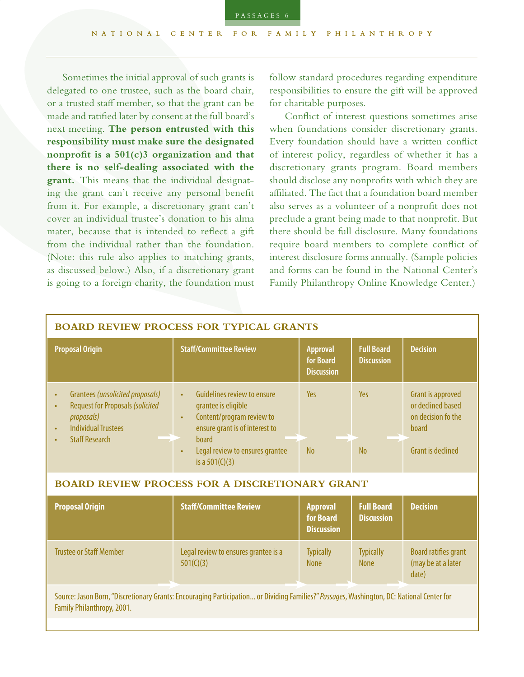Sometimes the initial approval of such grants is delegated to one trustee, such as the board chair, or a trusted staf member, so that the grant can be made and ratifed later by consent at the full board's next meeting. **The person entrusted with this responsibility must make sure the designated nonproft is a 501(c)3 organization and that there is no self-dealing associated with the grant.** This means that the individual designating the grant can't receive any personal beneft from it. For example, a discretionary grant can't cover an individual trustee's donation to his alma mater, because that is intended to refect a gift from the individual rather than the foundation. (Note: this rule also applies to matching grants, as discussed below.) Also, if a discretionary grant is going to a foreign charity, the foundation must

follow standard procedures regarding expenditure responsibilities to ensure the gift will be approved for charitable purposes.

Confict of interest questions sometimes arise when foundations consider discretionary grants. Every foundation should have a written confict of interest policy, regardless of whether it has a discretionary grants program. Board members should disclose any nonprofts with which they are affiliated. The fact that a foundation board member also serves as a volunteer of a nonproft does not preclude a grant being made to that nonproft. But there should be full disclosure. Many foundations require board members to complete confict of interest disclosure forms annually. (Sample policies and forms can be found in the National Center's Family Philanthropy Online Knowledge Center.)

| <b>BOARD REVIEW PROCESS FOR TYPICAL GRANTS</b>                                                                                                                             |                                                                                                                                                             |                                                   |                                        |                                                                              |
|----------------------------------------------------------------------------------------------------------------------------------------------------------------------------|-------------------------------------------------------------------------------------------------------------------------------------------------------------|---------------------------------------------------|----------------------------------------|------------------------------------------------------------------------------|
| <b>Proposal Origin</b>                                                                                                                                                     | <b>Staff/Committee Review</b>                                                                                                                               | <b>Approval</b><br>for Board<br><b>Discussion</b> | <b>Full Board</b><br><b>Discussion</b> | <b>Decision</b>                                                              |
| Grantees (unsolicited proposals)<br>$\bullet$<br><b>Request for Proposals (solicited</b><br>$\bullet$<br>proposals)<br><b>Individual Trustees</b><br><b>Staff Research</b> | Guidelines review to ensure<br>$\bullet$<br>grantee is eligible<br>Content/program review to<br>$\bullet$<br>ensure grant is of interest to<br><b>board</b> | Yes                                               | <b>Yes</b>                             | <b>Grant is approved</b><br>or declined based<br>on decision fo the<br>board |
|                                                                                                                                                                            | Legal review to ensures grantee<br>$\bullet$<br>is a $501(C)(3)$                                                                                            | <b>No</b>                                         | <b>No</b>                              | <b>Grant is declined</b>                                                     |
| <b>BOARD REVIEW PROCESS FOR A DISCRETIONARY GRANT</b>                                                                                                                      |                                                                                                                                                             |                                                   |                                        |                                                                              |
| <b>Proposal Origin</b>                                                                                                                                                     | <b>Staff/Committee Review</b>                                                                                                                               | <b>Approval</b><br>for Board<br><b>Discussion</b> | <b>Full Board</b><br><b>Discussion</b> | <b>Decision</b>                                                              |
| <b>Trustee or Staff Member</b>                                                                                                                                             | Legal review to ensures grantee is a<br>501(C)(3)                                                                                                           | <b>Typically</b><br><b>None</b>                   | <b>Typically</b><br><b>None</b>        | Board ratifies grant<br>(may be at a later<br>date)                          |
| Source: Jason Born, "Discretionary Grants: Encouraging Participation or Dividing Families?" Passages, Washington, DC: National Center for<br>Family Philanthropy, 2001.    |                                                                                                                                                             |                                                   |                                        |                                                                              |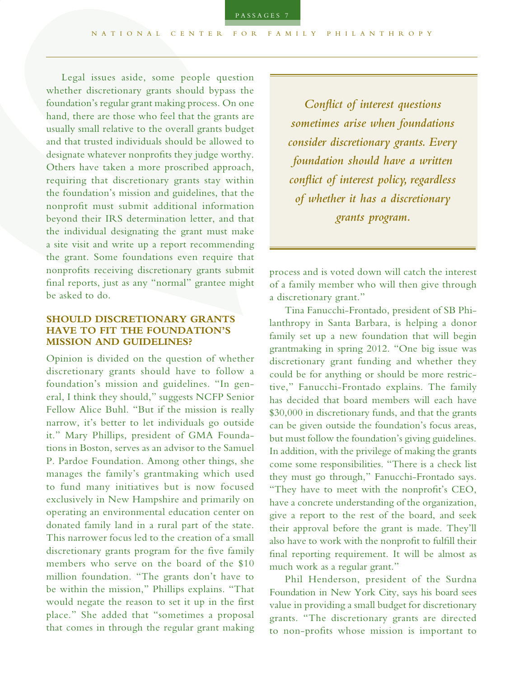Legal issues aside, some people question whether discretionary grants should bypass the foundation's regular grant making process. On one hand, there are those who feel that the grants are usually small relative to the overall grants budget and that trusted individuals should be allowed to designate whatever nonprofts they judge worthy. Others have taken a more proscribed approach, requiring that discretionary grants stay within the foundation's mission and guidelines, that the nonproft must submit additional information beyond their IRS determination letter, and that the individual designating the grant must make a site visit and write up a report recommending the grant. Some foundations even require that nonprofts receiving discretionary grants submit fnal reports, just as any "normal" grantee might be asked to do.

# **SHOULD DISCRETIONARY GRANTS HAVE TO FIT THE FOUNDATION'S MISSION AND GUIDELINES?**

Opinion is divided on the question of whether discretionary grants should have to follow a foundation's mission and guidelines. "In general, I think they should," suggests NCFP Senior Fellow Alice Buhl. "But if the mission is really narrow, it's better to let individuals go outside it." Mary Phillips, president of GMA Foundations in Boston, serves as an advisor to the Samuel P. Pardoe Foundation. Among other things, she manages the family's grantmaking which used to fund many initiatives but is now focused exclusively in New Hampshire and primarily on operating an environmental education center on donated family land in a rural part of the state. This narrower focus led to the creation of a small discretionary grants program for the five family members who serve on the board of the \$10 million foundation. "The grants don't have to be within the mission," Phillips explains. "That would negate the reason to set it up in the first place." She added that "sometimes a proposal that comes in through the regular grant making

*Confict of interest questions sometimes arise when foundations consider discretionary grants. Every foundation should have a written confict of interest policy, regardless of whether it has a discretionary grants program.*

process and is voted down will catch the interest of a family member who will then give through a discretionary grant."

Tina Fanucchi-Frontado, president of SB Philanthropy in Santa Barbara, is helping a donor family set up a new foundation that will begin grantmaking in spring 2012. "One big issue was discretionary grant funding and whether they could be for anything or should be more restrictive," Fanucchi-Frontado explains. The family has decided that board members will each have \$30,000 in discretionary funds, and that the grants can be given outside the foundation's focus areas, but must follow the foundation's giving guidelines. In addition, with the privilege of making the grants come some responsibilities. "There is a check list they must go through," Fanucchi-Frontado says. "They have to meet with the nonproft's CEO, have a concrete understanding of the organization, give a report to the rest of the board, and seek their approval before the grant is made. They'll also have to work with the nonproft to fulfll their fnal reporting requirement. It will be almost as much work as a regular grant."

Phil Henderson, president of the Surdna Foundation in New York City, says his board sees value in providing a small budget for discretionary grants. "The discretionary grants are directed to non-profts whose mission is important to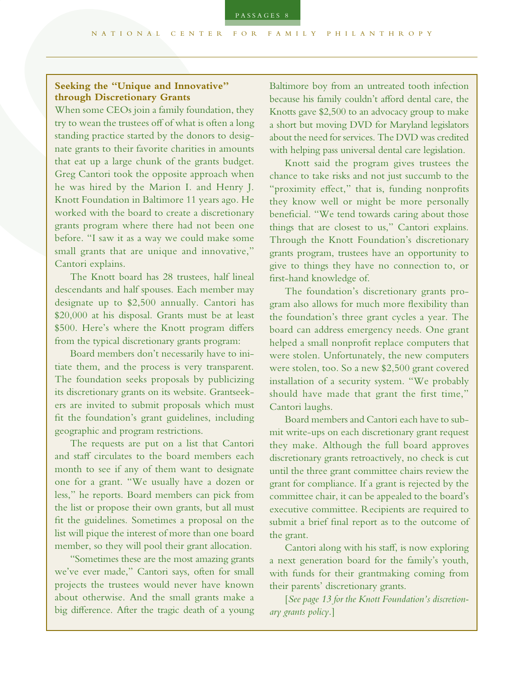# **Seeking the "Unique and Innovative" through Discretionary Grants**

When some CEOs join a family foundation, they try to wean the trustees off of what is often a long standing practice started by the donors to designate grants to their favorite charities in amounts that eat up a large chunk of the grants budget. Greg Cantori took the opposite approach when he was hired by the Marion I. and Henry J. Knott Foundation in Baltimore 11 years ago. He worked with the board to create a discretionary grants program where there had not been one before. "I saw it as a way we could make some small grants that are unique and innovative," Cantori explains.

The Knott board has 28 trustees, half lineal descendants and half spouses. Each member may designate up to \$2,500 annually. Cantori has \$20,000 at his disposal. Grants must be at least \$500. Here's where the Knott program difers from the typical discretionary grants program:

Board members don't necessarily have to initiate them, and the process is very transparent. The foundation seeks proposals by publicizing its discretionary grants on its website. Grantseekers are invited to submit proposals which must ft the foundation's grant guidelines, including geographic and program restrictions.

The requests are put on a list that Cantori and staff circulates to the board members each month to see if any of them want to designate one for a grant. "We usually have a dozen or less," he reports. Board members can pick from the list or propose their own grants, but all must ft the guidelines. Sometimes a proposal on the list will pique the interest of more than one board member, so they will pool their grant allocation.

"Sometimes these are the most amazing grants we've ever made," Cantori says, often for small projects the trustees would never have known about otherwise. And the small grants make a big diference. After the tragic death of a young Baltimore boy from an untreated tooth infection because his family couldn't afford dental care, the Knotts gave \$2,500 to an advocacy group to make a short but moving DVD for Maryland legislators about the need for services. The DVD was credited with helping pass universal dental care legislation.

Knott said the program gives trustees the chance to take risks and not just succumb to the "proximity effect," that is, funding nonprofits they know well or might be more personally beneficial. "We tend towards caring about those things that are closest to us," Cantori explains. Through the Knott Foundation's discretionary grants program, trustees have an opportunity to give to things they have no connection to, or frst-hand knowledge of.

The foundation's discretionary grants program also allows for much more fexibility than the foundation's three grant cycles a year. The board can address emergency needs. One grant helped a small nonprofit replace computers that were stolen. Unfortunately, the new computers were stolen, too. So a new \$2,500 grant covered installation of a security system. "We probably should have made that grant the frst time," Cantori laughs.

Board members and Cantori each have to submit write-ups on each discretionary grant request they make. Although the full board approves discretionary grants retroactively, no check is cut until the three grant committee chairs review the grant for compliance. If a grant is rejected by the committee chair, it can be appealed to the board's executive committee. Recipients are required to submit a brief fnal report as to the outcome of the grant.

Cantori along with his staf, is now exploring a next generation board for the family's youth, with funds for their grantmaking coming from their parents' discretionary grants.

[*See page 13 for the Knott Foundation's discretionary grants policy.*]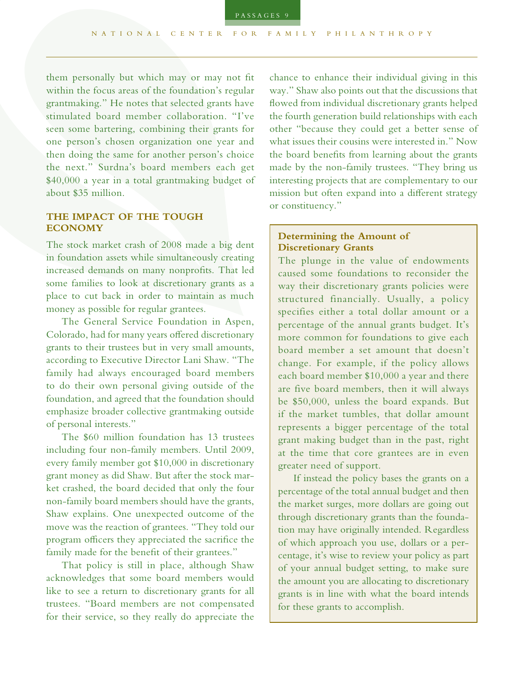them personally but which may or may not ft within the focus areas of the foundation's regular grantmaking." He notes that selected grants have stimulated board member collaboration. "I've seen some bartering, combining their grants for one person's chosen organization one year and then doing the same for another person's choice the next." Surdna's board members each get \$40,000 a year in a total grantmaking budget of about \$35 million.

# **THE IMPACT OF THE TOUGH ECONOMY**

The stock market crash of 2008 made a big dent in foundation assets while simultaneously creating increased demands on many nonprofts. That led some families to look at discretionary grants as a place to cut back in order to maintain as much money as possible for regular grantees.

The General Service Foundation in Aspen, Colorado, had for many years ofered discretionary grants to their trustees but in very small amounts, according to Executive Director Lani Shaw. "The family had always encouraged board members to do their own personal giving outside of the foundation, and agreed that the foundation should emphasize broader collective grantmaking outside of personal interests."

The \$60 million foundation has 13 trustees including four non-family members. Until 2009, every family member got \$10,000 in discretionary grant money as did Shaw. But after the stock market crashed, the board decided that only the four non-family board members should have the grants, Shaw explains. One unexpected outcome of the move was the reaction of grantees. "They told our program officers they appreciated the sacrifice the family made for the beneft of their grantees."

That policy is still in place, although Shaw acknowledges that some board members would like to see a return to discretionary grants for all trustees. "Board members are not compensated for their service, so they really do appreciate the

chance to enhance their individual giving in this way." Shaw also points out that the discussions that fowed from individual discretionary grants helped the fourth generation build relationships with each other "because they could get a better sense of what issues their cousins were interested in." Now the board benefts from learning about the grants made by the non-family trustees. "They bring us interesting projects that are complementary to our mission but often expand into a diferent strategy or constituency."

#### **Determining the Amount of Discretionary Grants**

The plunge in the value of endowments caused some foundations to reconsider the way their discretionary grants policies were structured financially. Usually, a policy specifies either a total dollar amount or a percentage of the annual grants budget. It's more common for foundations to give each board member a set amount that doesn't change. For example, if the policy allows each board member \$10,000 a year and there are five board members, then it will always be \$50,000, unless the board expands. But if the market tumbles, that dollar amount represents a bigger percentage of the total grant making budget than in the past, right at the time that core grantees are in even greater need of support.

If instead the policy bases the grants on a percentage of the total annual budget and then the market surges, more dollars are going out through discretionary grants than the foundation may have originally intended. Regardless of which approach you use, dollars or a percentage, it's wise to review your policy as part of your annual budget setting, to make sure the amount you are allocating to discretionary grants is in line with what the board intends for these grants to accomplish.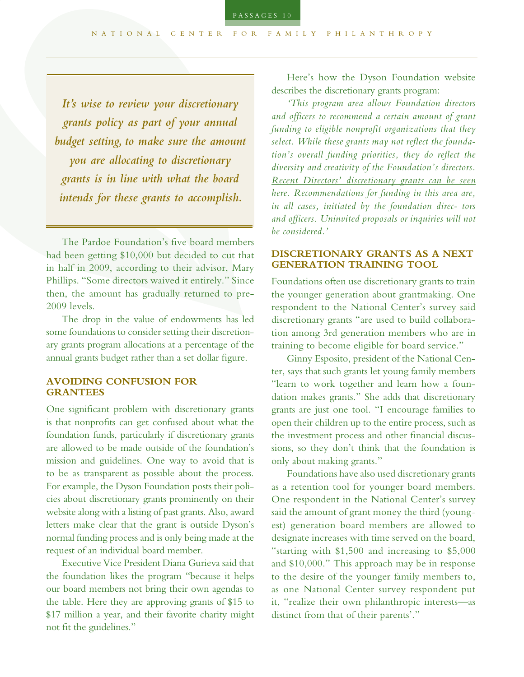*It's wise to review your discretionary grants policy as part of your annual budget setting, to make sure the amount you are allocating to discretionary grants is in line with what the board intends for these grants to accomplish.*

The Pardoe Foundation's five board members had been getting \$10,000 but decided to cut that in half in 2009, according to their advisor, Mary Phillips. "Some directors waived it entirely." Since then, the amount has gradually returned to pre-2009 levels.

The drop in the value of endowments has led some foundations to consider setting their discretionary grants program allocations at a percentage of the annual grants budget rather than a set dollar figure.

#### **AVOIDING CONFUSION FOR GRANTEES**

One signifcant problem with discretionary grants is that nonprofts can get confused about what the foundation funds, particularly if discretionary grants are allowed to be made outside of the foundation's mission and guidelines. One way to avoid that is to be as transparent as possible about the process. For example, the Dyson Foundation posts their policies about discretionary grants prominently on their website along with a listing of past grants. Also, award letters make clear that the grant is outside Dyson's normal funding process and is only being made at the request of an individual board member.

Executive Vice President Diana Gurieva said that the foundation likes the program "because it helps our board members not bring their own agendas to the table. Here they are approving grants of \$15 to \$17 million a year, and their favorite charity might not fit the guidelines."

Here's how the Dyson Foundation website describes the discretionary grants program:

*'This program area allows Foundation directors and officers to recommend a certain amount of grant funding to eligible nonprofit organizations that they select. While these grants may not reflect the foundation's overall funding priorities, they do reflect the diversity and creativity of the Foundation's directors. Recent Directors' discretionary grants can be seen here. Recommendations for funding in this area are, in all cases, initiated by the foundation direc- tors and officers. Uninvited proposals or inquiries will not be considered.'*

#### **DISCRETIONARY GRANTS AS A NEXT GENERATION TRAINING TOOL**

Foundations often use discretionary grants to train the younger generation about grantmaking. One respondent to the National Center's survey said discretionary grants "are used to build collaboration among 3rd generation members who are in training to become eligible for board service."

Ginny Esposito, president of the National Center, says that such grants let young family members "learn to work together and learn how a foundation makes grants." She adds that discretionary grants are just one tool. "I encourage families to open their children up to the entire process, such as the investment process and other fnancial discussions, so they don't think that the foundation is only about making grants."

Foundations have also used discretionary grants as a retention tool for younger board members. One respondent in the National Center's survey said the amount of grant money the third (youngest) generation board members are allowed to designate increases with time served on the board, "starting with \$1,500 and increasing to \$5,000 and \$10,000." This approach may be in response to the desire of the younger family members to, as one National Center survey respondent put it, "realize their own philanthropic interests—as distinct from that of their parents'."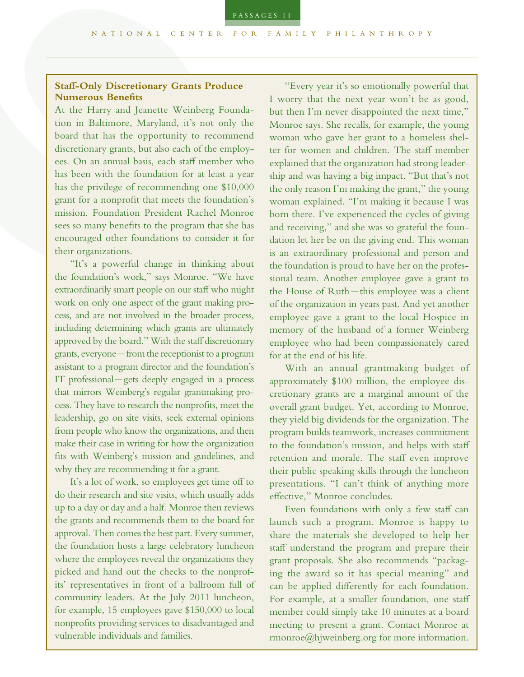PASSAGES 11

## **Staf-Only Discretionary Grants Produce Numerous Benefts**

At the Harry and Jeanette Weinberg Foundation in Baltimore, Maryland, it's not only the board that has the opportunity to recommend discretionary grants, but also each of the employees. On an annual basis, each staff member who has been with the foundation for at least a year has the privilege of recommending one \$10,000 grant for a nonproft that meets the foundation's mission. Foundation President Rachel Monroe sees so many benefts to the program that she has encouraged other foundations to consider it for their organizations.

"It's a powerful change in thinking about the foundation's work," says Monroe. "We have extraordinarily smart people on our staff who might work on only one aspect of the grant making process, and are not involved in the broader process, including determining which grants are ultimately approved by the board." With the staff discretionary grants, everyone—from the receptionist to a program assistant to a program director and the foundation's IT professional—gets deeply engaged in a process that mirrors Weinberg's regular grantmaking process. They have to research the nonprofts, meet the leadership, go on site visits, seek external opinions from people who know the organizations, and then make their case in writing for how the organization fts with Weinberg's mission and guidelines, and why they are recommending it for a grant.

It's a lot of work, so employees get time off to do their research and site visits, which usually adds up to a day or day and a half. Monroe then reviews the grants and recommends them to the board for approval. Then comes the best part. Every summer, the foundation hosts a large celebratory luncheon where the employees reveal the organizations they picked and hand out the checks to the nonprofits' representatives in front of a ballroom full of community leaders. At the July 2011 luncheon, for example, 15 employees gave \$150,000 to local nonprofts providing services to disadvantaged and vulnerable individuals and families.

"Every year it's so emotionally powerful that I worry that the next year won't be as good, but then I'm never disappointed the next time," Monroe says. She recalls, for example, the young woman who gave her grant to a homeless shelter for women and children. The staf member explained that the organization had strong leadership and was having a big impact. "But that's not the only reason I'm making the grant," the young woman explained. "I'm making it because I was born there. I've experienced the cycles of giving and receiving," and she was so grateful the foundation let her be on the giving end. This woman is an extraordinary professional and person and the foundation is proud to have her on the professional team. Another employee gave a grant to the House of Ruth—this employee was a client of the organization in years past. And yet another employee gave a grant to the local Hospice in memory of the husband of a former Weinberg employee who had been compassionately cared for at the end of his life.

With an annual grantmaking budget of approximately \$100 million, the employee discretionary grants are a marginal amount of the overall grant budget. Yet, according to Monroe, they yield big dividends for the organization. The program builds teamwork, increases commitment to the foundation's mission, and helps with staf retention and morale. The staff even improve their public speaking skills through the luncheon presentations. "I can't think of anything more efective," Monroe concludes.

Even foundations with only a few staff can launch such a program. Monroe is happy to share the materials she developed to help her staff understand the program and prepare their grant proposals. She also recommends "packaging the award so it has special meaning" and can be applied diferently for each foundation. For example, at a smaller foundation, one staff member could simply take 10 minutes at a board meeting to present a grant. Contact Monroe at rmonroe@hjweinberg.org for more information.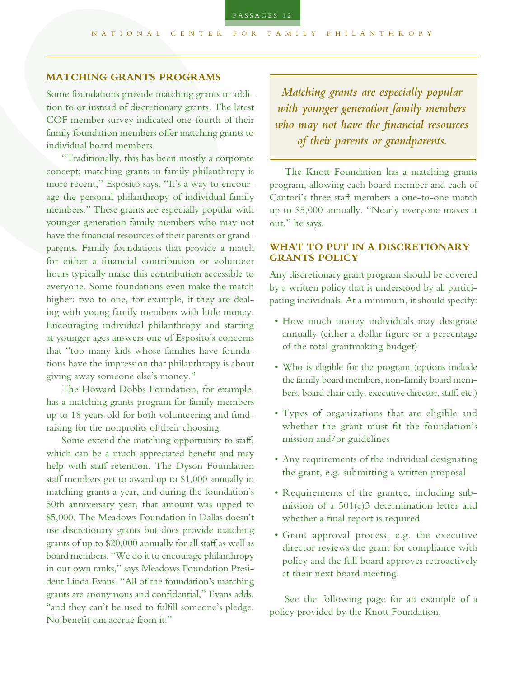#### **MATCHING GRANTS PROGRAMS**

Some foundations provide matching grants in addition to or instead of discretionary grants. The latest COF member survey indicated one-fourth of their family foundation members offer matching grants to individual board members.

"Traditionally, this has been mostly a corporate concept; matching grants in family philanthropy is more recent," Esposito says. "It's a way to encourage the personal philanthropy of individual family members." These grants are especially popular with younger generation family members who may not have the fnancial resources of their parents or grandparents. Family foundations that provide a match for either a fnancial contribution or volunteer hours typically make this contribution accessible to everyone. Some foundations even make the match higher: two to one, for example, if they are dealing with young family members with little money. Encouraging individual philanthropy and starting at younger ages answers one of Esposito's concerns that "too many kids whose families have foundations have the impression that philanthropy is about giving away someone else's money."

The Howard Dobbs Foundation, for example, has a matching grants program for family members up to 18 years old for both volunteering and fundraising for the nonprofts of their choosing.

Some extend the matching opportunity to staf, which can be a much appreciated beneft and may help with staff retention. The Dyson Foundation staff members get to award up to \$1,000 annually in matching grants a year, and during the foundation's 50th anniversary year, that amount was upped to \$5,000. The Meadows Foundation in Dallas doesn't use discretionary grants but does provide matching grants of up to \$20,000 annually for all staf as well as board members. "We do it to encourage philanthropy in our own ranks," says Meadows Foundation President Linda Evans. "All of the foundation's matching grants are anonymous and confdential," Evans adds, "and they can't be used to fulfill someone's pledge. No benefit can accrue from it."

*Matching grants are especially popular with younger generation family members who may not have the fnancial resources of their parents or grandparents.*

The Knott Foundation has a matching grants program, allowing each board member and each of Cantori's three staf members a one-to-one match up to \$5,000 annually. "Nearly everyone maxes it out," he says.

# **WHAT TO PUT IN A DISCRETIONARY GRANTS POLICY**

Any discretionary grant program should be covered by a written policy that is understood by all participating individuals. At a minimum, it should specify:

- How much money individuals may designate annually (either a dollar fgure or a percentage of the total grantmaking budget)
- Who is eligible for the program (options include the family board members, non-family board members, board chair only, executive director, staf, etc.)
- Types of organizations that are eligible and whether the grant must fit the foundation's mission and/or guidelines
- Any requirements of the individual designating the grant, e.g. submitting a written proposal
- Requirements of the grantee, including submission of a 501(c)3 determination letter and whether a final report is required
- Grant approval process, e.g. the executive director reviews the grant for compliance with policy and the full board approves retroactively at their next board meeting.

See the following page for an example of a policy provided by the Knott Foundation.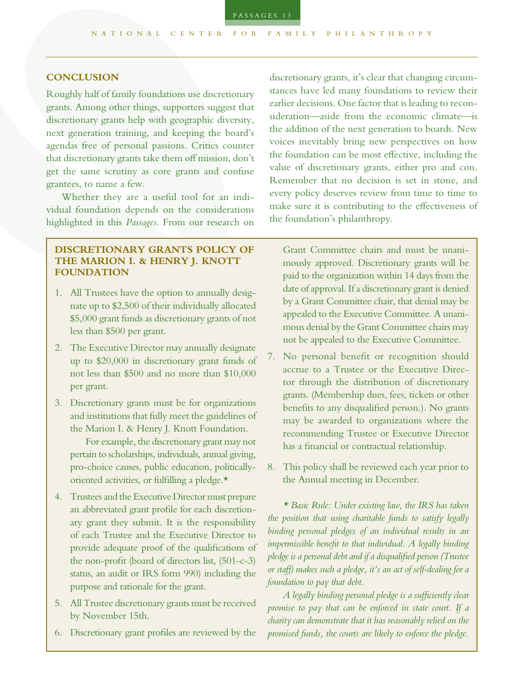#### **CONCLUSION**

Roughly half of family foundations use discretionary grants. Among other things, supporters suggest that discretionary grants help with geographic diversity, next generation training, and keeping the board's agendas free of personal passions. Critics counter that discretionary grants take them off mission, don't get the same scrutiny as core grants and confuse grantees, to name a few.

Whether they are a useful tool for an individual foundation depends on the considerations highlighted in this *Passages*. From our research on

#### **DISCRETIONARY GRANTS POLICY OF THE MARION I. & HENRY J. KNOTT FOUNDATION**

- 1. All Trustees have the option to annually designate up to \$2,500 of their individually allocated \$5,000 grant funds as discretionary grants of not less than \$500 per grant.
- 2. The Executive Director may annually designate up to \$20,000 in discretionary grant funds of not less than \$500 and no more than \$10,000 per grant.
- 3. Discretionary grants must be for organizations and institutions that fully meet the guidelines of the Marion I. & Henry J. Knott Foundation.

 For example, the discretionary grant may not pertain to scholarships, individuals, annual giving, pro-choice causes, public education, politicallyoriented activities, or fulflling a pledge.\*

- 4. Trustees and the Executive Director must prepare an abbreviated grant profle for each discretionary grant they submit. It is the responsibility of each Trustee and the Executive Director to provide adequate proof of the qualifcations of the non-proft (board of directors list, (501-c-3) status, an audit or IRS form 990) including the purpose and rationale for the grant.
- 5. All Trustee discretionary grants must be received by November 15th.
- 6. Discretionary grant profles are reviewed by the

discretionary grants, it's clear that changing circumstances have led many foundations to review their earlier decisions. One factor that is leading to reconsideration—aside from the economic climate—is the addition of the next generation to boards. New voices inevitably bring new perspectives on how the foundation can be most efective, including the value of discretionary grants, either pro and con. Remember that no decision is set in stone, and every policy deserves review from time to time to make sure it is contributing to the efectiveness of the foundation's philanthropy.

Grant Committee chairs and must be unanimously approved. Discretionary grants will be paid to the organization within 14 days from the date of approval. If a discretionary grant is denied by a Grant Committee chair, that denial may be appealed to the Executive Committee. A unanimous denial by the Grant Committee chairs may not be appealed to the Executive Committee.

- 7. No personal beneft or recognition should accrue to a Trustee or the Executive Director through the distribution of discretionary grants. (Membership dues, fees, tickets or other benefts to any disqualifed person.). No grants may be awarded to organizations where the recommending Trustee or Executive Director has a fnancial or contractual relationship.
- 8. This policy shall be reviewed each year prior to the Annual meeting in December.

*\* Basic Rule: Under existing law, the IRS has taken the position that using charitable funds to satisfy legally binding personal pledges of an individual results in an impermissible beneft to that individual. A legally binding pledge is a personal debt and if a disqualifed person (Trustee or staf) makes such a pledge, it's an act of self-dealing for a foundation to pay that debt.* 

*A legally binding personal pledge is a sufciently clear promise to pay that can be enforced in state court. If a charity can demonstrate that it has reasonably relied on the promised funds, the courts are likely to enforce the pledge.*